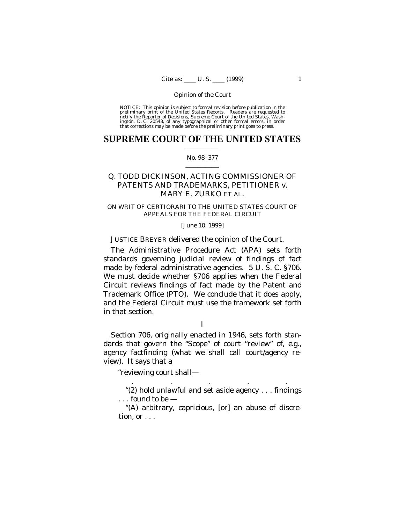NOTICE: This opinion is subject to formal revision before publication in the preliminary print of the United States Reports. Readers are requested to notify the Reporter of Decisions, Supreme Court of the United States, Wa

### **SUPREME COURT OF THE UNITED STATES**  $\mathcal{L}_\text{max}$  and  $\mathcal{L}_\text{max}$

### No. 98–377  $\mathcal{L}_\text{max}$  and  $\mathcal{L}_\text{max}$

# Q. TODD DICKINSON, ACTING COMMISSIONER OF PATENTS AND TRADEMARKS, PETITIONER *v.* MARY E. ZURKO ET AL.

# ON WRIT OF CERTIORARI TO THE UNITED STATES COURT OF APPEALS FOR THE FEDERAL CIRCUIT

## [June 10, 1999]

# JUSTICE BREYER delivered the opinion of the Court.

The Administrative Procedure Act (APA) sets forth standards governing judicial review of findings of fact made by federal administrative agencies. 5 U. S. C. §706. We must decide whether §706 applies when the Federal Circuit reviews findings of fact made by the Patent and Trademark Office (PTO). We conclude that it does apply, and the Federal Circuit must use the framework set forth in that section.

### I

Section 706, originally enacted in 1946, sets forth standards that govern the "Scope" of court "review" of, *e.g.*, agency factfinding (what we shall call court/agency review). It says that a

"reviewing court shall—

"(2) hold unlawful and set aside agency . . . findings . . . found to be —

. . . . .

"(A) arbitrary, capricious, [or] an abuse of discretion, or . . .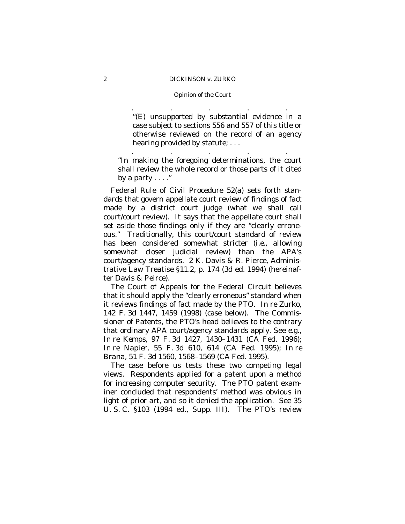### Opinion of the Court

. . . . .

"(E) unsupported by substantial evidence in a case subject to sections 556 and 557 of this title or otherwise reviewed on the record of an agency hearing provided by statute; . . .

"In making the foregoing determinations, the court shall review the whole record or those parts of it cited by a party  $\dots$ ."

. . . . .

Federal Rule of Civil Procedure 52(a) sets forth standards that govern appellate court review of findings of fact made by a district court judge (what we shall call court/court review). It says that the appellate court shall set aside those findings only if they are "clearly erroneous." Traditionally, this court/court standard of review has been considered somewhat stricter (*i.e.*, allowing somewhat closer judicial review) than the APA's court/agency standards. 2 K. Davis & R. Pierce, Administrative Law Treatise §11.2, p. 174 (3d ed. 1994) (hereinafter Davis & Peirce).

The Court of Appeals for the Federal Circuit believes that it should apply the "clearly erroneous" standard when it reviews findings of fact made by the PTO. *In re Zurko*, 142 F. 3d 1447, 1459 (1998) (case below). The Commissioner of Patents, the PTO's head believes to the contrary that ordinary APA court/agency standards apply. See *e.g.*, *In re Kemps*, 97 F. 3d 1427, 1430–1431 (CA Fed. 1996); *In re Napier*, 55 F. 3d 610, 614 (CA Fed. 1995); *In re Brana*, 51 F. 3d 1560, 1568–1569 (CA Fed. 1995).

The case before us tests these two competing legal views. Respondents applied for a patent upon a method for increasing computer security. The PTO patent examiner concluded that respondents' method was obvious in light of prior art, and so it denied the application. See 35 U. S. C. §103 (1994 ed., Supp. III). The PTO's review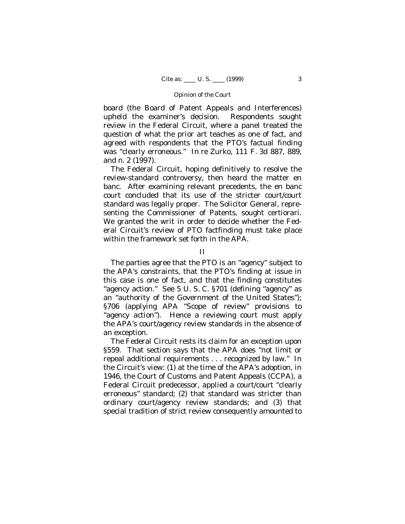board (the Board of Patent Appeals and Interferences) upheld the examiner's decision. Respondents sought review in the Federal Circuit, where a panel treated the question of what the prior art teaches as one of fact, and agreed with respondents that the PTO's factual finding was "clearly erroneous." *In re Zurko*, 111 F. 3d 887, 889, and n. 2 (1997).

The Federal Circuit, hoping definitively to resolve the review-standard controversy, then heard the matter en banc. After examining relevant precedents, the en banc court concluded that its use of the stricter court/court standard was legally proper. The Solicitor General, representing the Commissioner of Patents, sought certiorari. We granted the writ in order to decide whether the Federal Circuit's review of PTO factfinding must take place within the framework set forth in the APA.

II

The parties agree that the PTO is an "agency" subject to the APA's constraints, that the PTO's finding at issue in this case is one of fact, and that the finding constitutes "agency action." See 5 U. S. C. §701 (defining "agency" as an "authority of the Government of the United States"); §706 (applying APA "Scope of review" provisions to "agency action"). Hence a reviewing court must apply the APA's court/agency review standards in the absence of an exception.

The Federal Circuit rests its claim for an exception upon §559. That section says that the APA does "not limit or repeal additional requirements . . . recognized by law." In the Circuit's view: (1) at the time of the APA's adoption, in 1946, the Court of Customs and Patent Appeals (CCPA), a Federal Circuit predecessor, applied a court/court "clearly erroneous" standard; (2) that standard was stricter than ordinary court/agency review standards; and (3) that special tradition of strict review consequently amounted to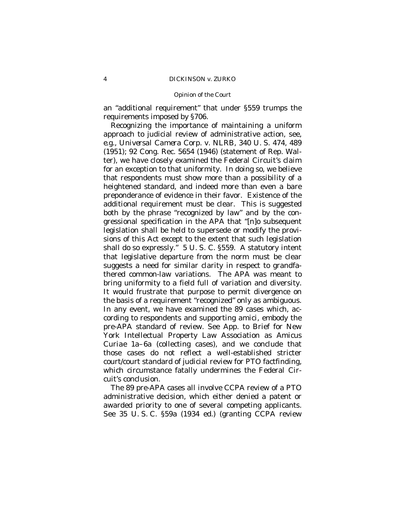an "additional requirement" that under §559 trumps the requirements imposed by §706.

Recognizing the importance of maintaining a uniform approach to judicial review of administrative action, see, *e.g., Universal Camera Corp.* v. *NLRB*, 340 U. S. 474, 489 (1951); 92 Cong. Rec. 5654 (1946) (statement of Rep. Walter), we have closely examined the Federal Circuit's claim for an exception to that uniformity. In doing so, we believe that respondents must show more than a possibility of a heightened standard, and indeed more than even a bare preponderance of evidence in their favor. Existence of the additional requirement must be clear. This is suggested both by the phrase "recognized by law" and by the congressional specification in the APA that "[n]o subsequent legislation shall be held to supersede or modify the provisions of this Act except to the extent that such legislation shall do so expressly." 5 U. S. C. §559. A statutory intent that legislative departure from the norm must be clear suggests a need for similar clarity in respect to grandfathered common-law variations. The APA was meant to bring uniformity to a field full of variation and diversity. It would frustrate that purpose to permit divergence on the basis of a requirement "recognized" only as ambiguous. In any event, we have examined the 89 cases which, according to respondents and supporting *amici,* embody the pre-APA standard of review. See App. to Brief for New York Intellectual Property Law Association as *Amicus Curiae* 1a–6a (collecting cases), and we conclude that those cases do not reflect a well-established stricter court/court standard of judicial review for PTO factfinding, which circumstance fatally undermines the Federal Circuit's conclusion.

The 89 pre-APA cases all involve CCPA review of a PTO administrative decision, which either denied a patent or awarded priority to one of several competing applicants. See 35 U. S. C. §59a (1934 ed.) (granting CCPA review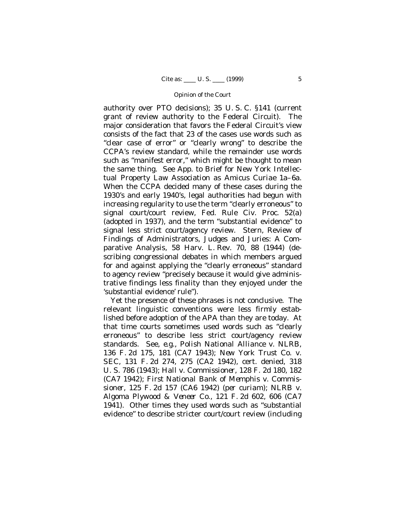authority over PTO decisions); 35 U. S. C. §141 (current grant of review authority to the Federal Circuit). The major consideration that favors the Federal Circuit's view consists of the fact that 23 of the cases use words such as "clear case of error" or "clearly wrong" to describe the CCPA's review standard, while the remainder use words such as "manifest error," which might be thought to mean the same thing. See App. to Brief for New York Intellectual Property Law Association as *Amicus Curiae* 1a–6a. When the CCPA decided many of these cases during the 1930's and early 1940's, legal authorities had begun with increasing regularity to use the term "clearly erroneous" to signal court/court review, Fed. Rule Civ. Proc. 52(a) (adopted in 1937), and the term "substantial evidence" to signal less strict court/agency review. Stern, Review of Findings of Administrators, Judges and Juries: A Comparative Analysis, 58 Harv. L. Rev. 70, 88 (1944) (describing congressional debates in which members argued for and against applying the "clearly erroneous" standard to agency review "precisely because it would give administrative findings less finality than they enjoyed under the 'substantial evidence' rule").

Yet the presence of these phrases is not conclusive. The relevant linguistic conventions were less firmly established before adoption of the APA than they are today. At that time courts sometimes used words such as "clearly erroneous" to describe less strict court/agency review standards. See, *e.g.*, *Polish National Alliance* v. *NLRB*, 136 F. 2d 175, 181 (CA7 1943); *New York Trust Co.* v. *SEC*, 131 F. 2d 274, 275 (CA2 1942), cert. denied, 318 U. S. 786 (1943); *Hall* v. *Commissioner,* 128 F. 2d 180, 182 (CA7 1942); *First National Bank of Memphis* v. *Commissioner,* 125 F. 2d 157 (CA6 1942) *(per curiam); NLRB* v. *Algoma Plywood & Veneer Co.*, 121 F. 2d 602, 606 (CA7 1941). Other times they used words such as "substantial evidence" to describe stricter court/court review (including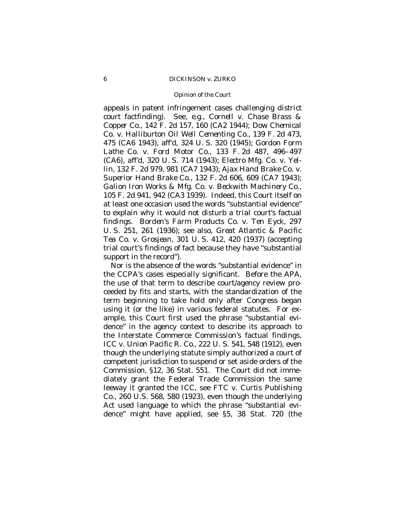### Opinion of the Court

appeals in patent infringement cases challenging *district court* factfinding). See, *e.g.*, *Cornell* v. *Chase Brass & Copper Co.*, 142 F. 2d 157, 160 (CA2 1944); *Dow Chemical Co.* v. *Halliburton Oil Well Cementing Co.*, 139 F. 2d 473, 475 (CA6 1943), aff'd, 324 U. S. 320 (1945); *Gordon Form Lathe Co.* v. *Ford Motor Co.*, 133 F. 2d 487, 496–497 (CA6), aff'd, 320 U. S. 714 (1943); *Electro Mfg. Co.* v. *Yellin*, 132 F. 2d 979, 981 (CA7 1943); *Ajax Hand Brake Co.* v. *Superior Hand Brake Co.*, 132 F. 2d 606, 609 (CA7 1943); *Galion Iron Works & Mfg. Co.* v. *Beckwith Machinery Co.*, 105 F. 2d 941, 942 (CA3 1939). Indeed, this Court itself on at least one occasion used the words "substantial evidence" to explain why it would not disturb a *trial court's* factual findings. *Borden's Farm Products Co.* v. *Ten Eyck*, 297 U. S. 251, 261 (1936); see also, *Great Atlantic & Pacific Tea Co.* v. *Grosjean*, 301 U. S. 412, 420 (1937) (accepting trial court's findings of fact because they have "substantial support in the record").

Nor is the absence of the words "substantial evidence" in the CCPA's cases especially significant. Before the APA, the use of that term to describe court/agency review proceeded by fits and starts, with the standardization of the term beginning to take hold only after Congress began using it (or the like) in various federal statutes. For example, this Court first used the phrase "substantial evidence" in the agency context to describe its approach to the Interstate Commerce Commission's factual findings, *ICC* v. *Union Pacific R. Co.,* 222 U. S. 541, 548 (1912), even though the underlying statute simply authorized a court of competent jurisdiction to suspend or set aside orders of the Commission, §12, 36 Stat. 551. The Court did not immediately grant the Federal Trade Commission the same leeway it granted the ICC, see *FTC* v. *Curtis Publishing Co.*, 260 U.S. 568, 580 (1923), even though the underlying Act used language to which the phrase "substantial evidence" might have applied, see §5, 38 Stat. 720 (the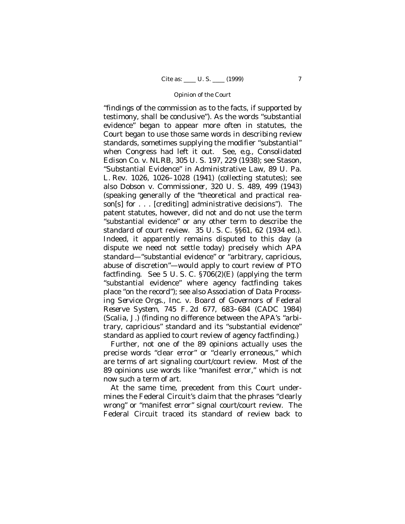"findings of the commission as to the facts, if supported by testimony, shall be conclusive"). As the words "substantial evidence" began to appear more often in statutes, the Court began to use those same words in describing review standards, sometimes supplying the modifier "substantial" when Congress had left it out. See, *e.g.*, *Consolidated Edison Co.* v. *NLRB*, 305 U. S. 197, 229 (1938); see Stason, "Substantial Evidence" in Administrative Law, 89 U. Pa. L. Rev. 1026, 1026–1028 (1941) (collecting statutes); see also *Dobson* v. *Commissioner*, 320 U. S. 489, 499 (1943) (speaking generally of the "theoretical and practical reason[s] for . . . [crediting] administrative decisions"). The patent statutes, however, did not and do not use the term "substantial evidence" or any other term to describe the standard of court review. 35 U. S. C. §§61, 62 (1934 ed.). Indeed, it apparently remains disputed to this day (a dispute we need not settle today) precisely which APA standard— "substantial evidence" or "arbitrary, capricious, abuse of discretion"— would apply to court review of PTO factfinding. See 5 U.S.C.  $\S706(2)$ (E) (applying the term "substantial evidence" where agency factfinding takes place "on the record"); see also *Association of Data Processing Service Orgs., Inc.* v. *Board of Governors of Federal Reserve System*, 745 F. 2d 677, 683–684 (CADC 1984) (Scalia, J.) (finding no difference between the APA's "arbitrary, capricious" standard and its "substantial evidence" standard as applied to court review of agency factfinding.)

Further, not one of the 89 opinions actually uses the precise words "clear error" or "clearly erroneous," which are terms of art signaling court/court review. Most of the 89 opinions use words like "manifest error," which is not now such a term of art.

At the same time, precedent from this Court undermines the Federal Circuit's claim that the phrases "clearly wrong" or "manifest error" signal court/court review. The Federal Circuit traced its standard of review back to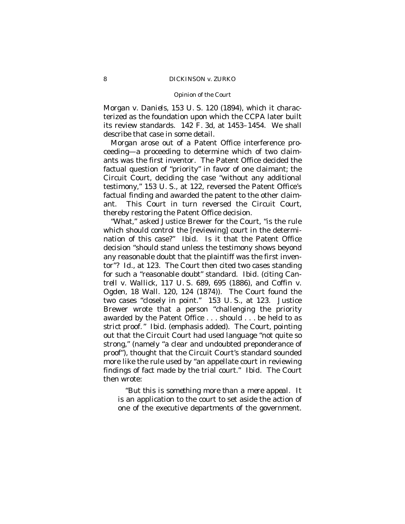### Opinion of the Court

*Morgan* v. *Daniels*, 153 U. S. 120 (1894), which it characterized as the foundation upon which the CCPA later built its review standards. 142 F. 3d, at 1453–1454. We shall describe that case in some detail.

*Morgan* arose out of a Patent Office interference proceeding— a proceeding to determine which of two claimants was the first inventor. The Patent Office decided the factual question of "priority" in favor of one claimant; the Circuit Court, deciding the case "without any additional testimony," 153 U. S., at 122, reversed the Patent Office's factual finding and awarded the patent to the other claimant. This Court in turn reversed the Circuit Court, thereby restoring the Patent Office decision.

"What," asked Justice Brewer for the Court, "is the rule which should control the [reviewing] court in the determination of this case?" *Ibid.* Is it that the Patent Office decision "should stand unless the testimony shows beyond any reasonable doubt that the plaintiff was the first inventor"? *Id.*, at 123. The Court then cited two cases standing for such a "reasonable doubt" standard. *Ibid.* (citing *Cantrell* v. *Wallick*, 117 U. S. 689, 695 (1886), and *Coffin* v. *Ogden*, 18 Wall. 120, 124 (1874)). The Court found the two cases "closely in point." 153 U. S., at 123. Justice Brewer wrote that a person "challenging the priority awarded by the Patent Office . . . should . . . be held to *as strict* proof." *Ibid.* (emphasis added). The Court, pointing out that the Circuit Court had used language "not quite so strong," (namely "a clear and undoubted preponderance of proof"), thought that the Circuit Court's standard sounded more like the rule used by "an appellate court in reviewing findings of fact made by the trial court." *Ibid*. The Court then wrote:

"*But this is something more than a mere appeal.* It is an application to the court to set aside the action of one of the executive departments of the government.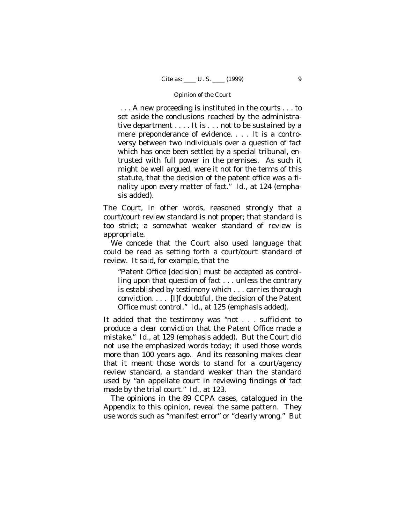. . . A new proceeding is instituted in the courts . . . to set aside the conclusions reached by the administrative department . . . . It is . . . not to be sustained by a mere preponderance of evidence. . . . It is a controversy between two individuals over a question of fact which has once been settled by a special tribunal, entrusted with full power in the premises. As such it might be well argued, were it not for the terms of this statute, that the decision of the patent office was a finality upon every matter of fact." *Id.*, at 124 (emphasis added).

The Court, in other words, reasoned strongly that a court/court review standard is *not* proper; that standard is too strict; a somewhat weaker standard of review is appropriate.

We concede that the Court also used language that could be read as setting forth a court/court standard of review. It said, for example, that the

"Patent Office [decision] must be accepted as controlling upon that question of fact . . . unless the contrary is established by testimony which . . . *carries thorough conviction*. . . . [I]f doubtful, the decision of the Patent Office must control." *Id.*, at 125 (emphasis added).

It added that the testimony was "not . . . sufficient to produce *a clear conviction* that the Patent Office made a mistake." *Id.*, at 129 (emphasis added). But the Court did not use the emphasized words today; it used those words more than 100 years ago. And its reasoning makes clear that it meant those words to stand for a court/agency review standard, a standard weaker than the standard used by "an appellate court in reviewing findings of fact made by the trial court." *Id.*, at 123.

The opinions in the 89 CCPA cases, catalogued in the Appendix to this opinion, reveal the same pattern. They use words such as "manifest error" or "clearly wrong." But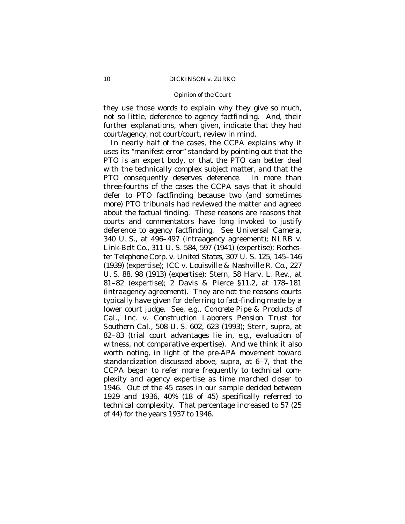### Opinion of the Court

they use those words to explain why they give so much, not so little, deference to agency factfinding. And, their further explanations, when given, indicate that they had court/agency, not court/court, review in mind.

In nearly half of the cases, the CCPA explains why it uses its "manifest error" standard by pointing out that the PTO is an expert body, or that the PTO can better deal with the technically complex subject matter, and that the PTO consequently deserves deference. In more than three-fourths of the cases the CCPA says that it should defer to PTO factfinding because two (and sometimes more) PTO tribunals had reviewed the matter and agreed about the factual finding. These reasons are reasons that courts and commentators have long invoked to justify deference to agency factfinding. See *Universal Camera*, 340 U. S., at 496–497 (intraagency agreement); *NLRB* v. *Link-Belt Co.,* 311 U. S. 584, 597 (1941) (expertise); *Rochester Telephone Corp.* v. *United States,* 307 U. S. 125, 145–146 (1939) (expertise); *ICC* v. *Louisville & Nashville R. Co.,* 227 U. S. 88, 98 (1913) (expertise); Stern, 58 Harv. L. Rev., at 81–82 (expertise); 2 Davis & Pierce §11.2, at 178–181 (intraagency agreement). They are not the reasons courts typically have given for deferring to fact-finding made by a lower court judge. See, *e.g.*, *Concrete Pipe & Products of Cal., Inc.* v. *Construction Laborers Pension Trust for Southern Cal.,* 508 U. S. 602, 623 (1993); Stern, *supra*, at 82–83 (trial court advantages lie in, *e.g.*, evaluation of witness, not comparative expertise). And we think it also worth noting, in light of the pre-APA movement toward standardization discussed above, *supra*, at 6–7, that the CCPA began to refer more frequently to technical complexity and agency expertise as time marched closer to 1946. Out of the 45 cases in our sample decided between 1929 and 1936, 40% (18 of 45) specifically referred to technical complexity. That percentage increased to 57 (25 of 44) for the years 1937 to 1946.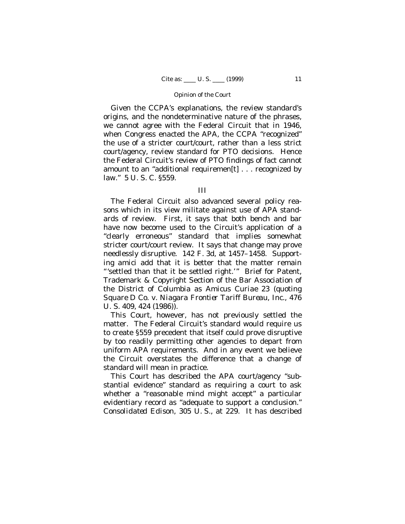Given the CCPA's explanations, the review standard's origins, and the nondeterminative nature of the phrases, we cannot agree with the Federal Circuit that in 1946, when Congress enacted the APA, the CCPA "recognized" the use of a stricter court/court, rather than a less strict court/agency, review standard for PTO decisions. Hence the Federal Circuit's review of PTO findings of fact cannot amount to an "additional requiremen[t] . . . recognized by law." 5 U. S. C. §559.

### III

The Federal Circuit also advanced several policy reasons which in its view militate against use of APA standards of review. First, it says that both bench and bar have now become used to the Circuit's application of a "clearly erroneous" standard that implies somewhat stricter court/court review. It says that change may prove needlessly disruptive. 142 F. 3d, at 1457–1458. Supporting *amici* add that it is better that the matter remain "'settled than that it be settled right.'" Brief for Patent, Trademark & Copyright Section of the Bar Association of the District of Columbia as *Amicus Curiae* 23 (quoting *Square D Co.* v. *Niagara Frontier Tariff Bureau, Inc.*, 476 U. S. 409, 424 (1986)).

This Court, however, has not previously settled the matter. The Federal Circuit's standard would require us to create §559 precedent that itself could prove disruptive by too readily permitting other agencies to depart from uniform APA requirements. And in any event we believe the Circuit overstates the difference that a change of standard will mean in practice.

This Court has described the APA court/agency "substantial evidence" standard as requiring a court to ask whether a "reasonable mind might accept" a particular evidentiary record as "adequate to support a conclusion." *Consolidated Edison,* 305 U. S., at 229. It has described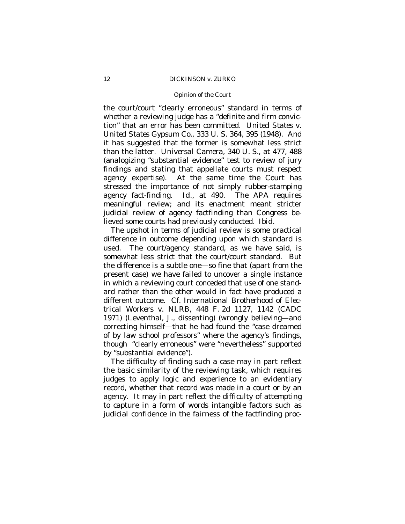### Opinion of the Court

the court/court "clearly erroneous" standard in terms of whether a reviewing judge has a "definite and firm conviction" that an error has been committed. *United States* v. *United States Gypsum Co.*, 333 U. S. 364, 395 (1948). And it has suggested that the former is somewhat less strict than the latter. *Universal Camera*, 340 U. S., at 477, 488 (analogizing "substantial evidence" test to review of jury findings and stating that appellate courts must respect agency expertise). At the same time the Court has stressed the importance of not simply rubber-stamping agency fact-finding. *Id.*, at 490. The APA requires meaningful review; and its enactment meant stricter judicial review of agency factfinding than Congress believed some courts had previously conducted. *Ibid.*

The upshot in terms of judicial review is some practical difference in outcome depending upon which standard is used. The court/agency standard, as we have said, is somewhat less strict that the court/court standard. But the difference is a subtle one— so fine that (apart from the present case) we have failed to uncover a single instance in which a reviewing court conceded that use of one standard rather than the other would in fact have produced a different outcome. Cf. *International Brotherhood of Electrical Workers* v. *NLRB*, 448 F. 2d 1127, 1142 (CADC 1971) (Leventhal, J., dissenting) (wrongly believing— and correcting himself— that he had found the "case dreamed of by law school professors" where the agency's findings, though "clearly erroneous" were "nevertheless" supported by "substantial evidence").

The difficulty of finding such a case may in part reflect the basic similarity of the reviewing task, which requires judges to apply logic and experience to an evidentiary record, whether that record was made in a court or by an agency. It may in part reflect the difficulty of attempting to capture in a form of words intangible factors such as judicial confidence in the fairness of the factfinding proc-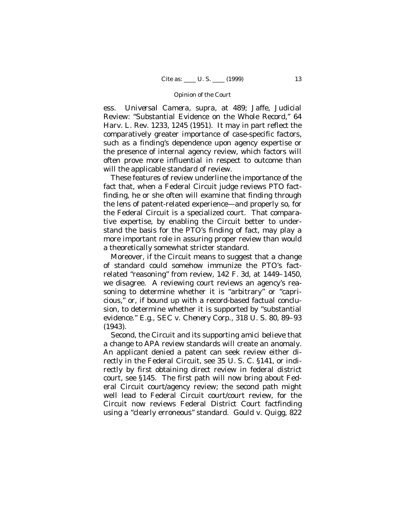ess. *Universal Camera, supra*, at 489; Jaffe, Judicial Review: "Substantial Evidence on the Whole Record," 64 Harv. L. Rev. 1233, 1245 (1951). It may in part reflect the comparatively greater importance of case-specific factors, such as a finding's dependence upon agency expertise or the presence of internal agency review, which factors will often prove more influential in respect to outcome than will the applicable standard of review.

These features of review underline the importance of the fact that, when a Federal Circuit judge reviews PTO factfinding, he or she often will examine that finding through the lens of patent-related experience— and properly so, for the Federal Circuit is a specialized court. That comparative expertise, by enabling the Circuit better to understand the basis for the PTO's finding of fact, may play a more important role in assuring proper review than would a theoretically somewhat stricter standard.

Moreover, if the Circuit means to suggest that a change of standard could somehow immunize the PTO's factrelated "reasoning" from review, 142 F. 3d, at 1449–1450, we disagree. A reviewing court reviews an agency's reasoning to determine whether it is "arbitrary" or "capricious," or, if bound up with a record-based factual conclusion, to determine whether it is supported by "substantial evidence." *E.g.*, *SEC* v. *Chenery Corp.*, 318 U. S. 80, 89–93 (1943).

Second, the Circuit and its supporting *amici* believe that a change to APA review standards will create an anomaly. An applicant denied a patent can seek review either directly in the Federal Circuit, see 35 U. S. C. §141, or indirectly by first obtaining direct review in federal district court, see §145. The first path will now bring about Federal Circuit court/agency review; the second path might well lead to Federal Circuit court/court review, for the Circuit now reviews Federal District Court factfinding using a "clearly erroneous" standard. *Gould* v. *Quigg*, 822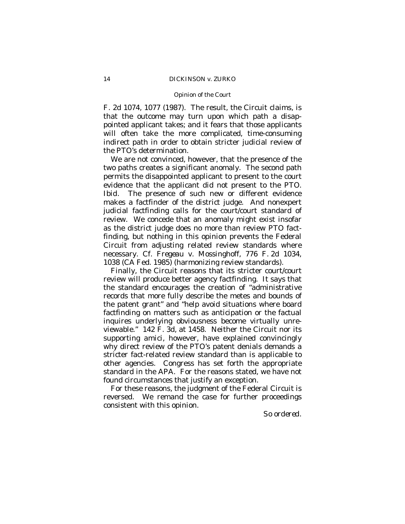#### Opinion of the Court

F. 2d 1074, 1077 (1987). The result, the Circuit claims, is that the outcome may turn upon which path a disappointed applicant takes; and it fears that those applicants will often take the more complicated, time-consuming indirect path in order to obtain stricter judicial review of the PTO's determination.

We are not convinced, however, that the presence of the two paths creates a significant anomaly. The second path permits the disappointed applicant to present to the court evidence that the applicant did not present to the PTO. *Ibid*. The presence of such new or different evidence makes a factfinder of the district judge. And nonexpert judicial factfinding calls for the court/court standard of review. We concede that an anomaly might exist insofar as the district judge does no more than review PTO factfinding, but nothing in this opinion prevents the Federal Circuit from adjusting related review standards where necessary. Cf. *Fregeau* v. *Mossinghoff*, 776 F. 2d 1034, 1038 (CA Fed. 1985) (harmonizing review standards).

Finally, the Circuit reasons that its stricter court/court review will produce better agency factfinding. It says that the standard encourages the creation of "administrative records that more fully describe the metes and bounds of the patent grant" and "help avoid situations where board factfinding on matters such as anticipation or the factual inquires underlying obviousness become virtually unreviewable." 142 F. 3d, at 1458.Neither the Circuit nor its supporting *amici,* however, have explained convincingly why direct review of the PTO's patent denials demands a stricter fact-related review standard than is applicable to other agencies. Congress has set forth the appropriate standard in the APA. For the reasons stated, we have not found circumstances that justify an exception.

For these reasons, the judgment of the Federal Circuit is reversed. We remand the case for further proceedings consistent with this opinion.

*So ordered.*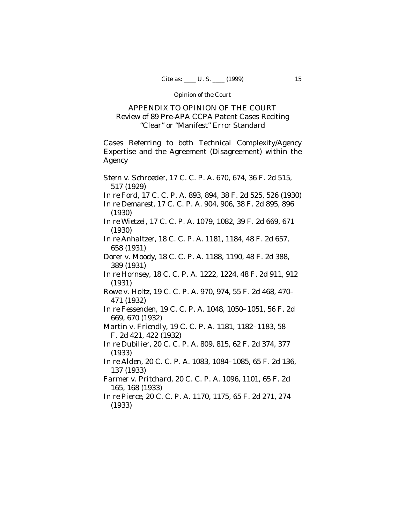# APPENDIX TO OPINION OF THE COURT Review of 89 Pre-APA CCPA Patent Cases Reciting "Clear" or "Manifest" Error Standard

Cases Referring to both Technical Complexity/Agency Expertise and the Agreement (Disagreement) within the Agency

*Stern* v. *Schroeder*, 17 C. C. P. A. 670, 674, 36 F. 2d 515, 517 (1929) *In re Ford*, 17 C. C. P. A. 893, 894, 38 F. 2d 525, 526 (1930) *In re Demarest*, 17 C. C. P. A. 904, 906, 38 F. 2d 895, 896 (1930) *In re Wietzel*, 17 C. C. P. A. 1079, 1082, 39 F. 2d 669, 671 (1930) *In re Anhaltzer*, 18 C. C. P. A. 1181, 1184, 48 F. 2d 657, 658 (1931) *Dorer* v. *Moody*, 18 C. C. P. A. 1188, 1190, 48 F. 2d 388, 389 (1931) *In re Hornsey*, 18 C. C. P. A. 1222, 1224, 48 F. 2d 911, 912 (1931) *Rowe* v. *Holtz*, 19 C. C. P. A. 970, 974, 55 F. 2d 468, 470– 471 (1932) *In re Fessenden*, 19 C. C. P. A. 1048, 1050–1051, 56 F. 2d 669, 670 (1932) *Martin* v. *Friendly*, 19 C. C. P. A. 1181, 1182–1183, 58 F. 2d 421, 422 (1932) *In re Dubilier*, 20 C. C. P. A. 809, 815, 62 F. 2d 374, 377 (1933) *In re Alden*, 20 C. C. P. A. 1083, 1084–1085, 65 F. 2d 136, 137 (1933) *Farmer* v. *Pritchard*, 20 C. C. P. A. 1096, 1101, 65 F. 2d 165, 168 (1933) *In re Pierce*, 20 C. C. P. A. 1170, 1175, 65 F. 2d 271, 274

(1933)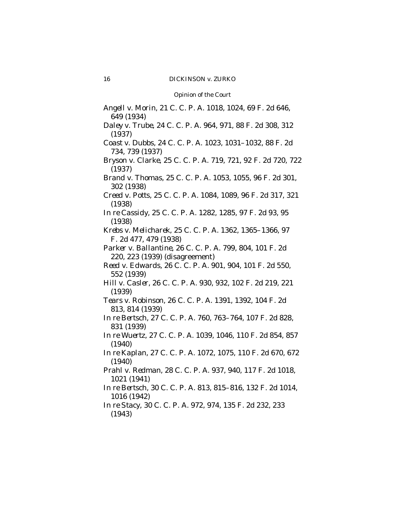*Angell* v. *Morin*, 21 C. C. P. A. 1018, 1024, 69 F. 2d 646, 649 (1934) *Daley* v. *Trube*, 24 C. C. P. A. 964, 971, 88 F. 2d 308, 312 (1937) *Coast* v. *Dubbs*, 24 C. C. P. A. 1023, 1031–1032, 88 F. 2d 734, 739 (1937) *Bryson* v. *Clarke*, 25 C. C. P. A. 719, 721, 92 F. 2d 720, 722 (1937) *Brand* v. *Thomas*, 25 C. C. P. A. 1053, 1055, 96 F. 2d 301, 302 (1938) *Creed* v. *Potts*, 25 C. C. P. A. 1084, 1089, 96 F. 2d 317, 321 (1938) *In re Cassidy*, 25 C. C. P. A. 1282, 1285, 97 F. 2d 93, 95 (1938) *Krebs* v. *Melicharek*, 25 C. C. P. A. 1362, 1365–1366, 97 F. 2d 477, 479 (1938) *Parker* v. *Ballantine*, 26 C. C. P. A. 799, 804, 101 F. 2d 220, 223 (1939) (disagreement) *Reed* v. *Edwards*, 26 C. C. P. A. 901, 904, 101 F. 2d 550, 552 (1939) *Hill* v. *Casler*, 26 C. C. P. A. 930, 932, 102 F. 2d 219, 221 (1939) *Tears* v. *Robinson*, 26 C. C. P. A. 1391, 1392, 104 F. 2d 813, 814 (1939) *In re Bertsch*, 27 C. C. P. A. 760, 763–764, 107 F. 2d 828, 831 (1939) *In re Wuertz*, 27 C. C. P. A. 1039, 1046, 110 F. 2d 854, 857 (1940) *In re Kaplan*, 27 C. C. P. A. 1072, 1075, 110 F. 2d 670, 672 (1940) *Prahl* v. *Redman*, 28 C. C. P. A. 937, 940, 117 F. 2d 1018, 1021 (1941) *In re Bertsch*, 30 C. C. P. A. 813, 815–816, 132 F. 2d 1014, 1016 (1942) *In re Stacy*, 30 C. C. P. A. 972, 974, 135 F. 2d 232, 233 (1943)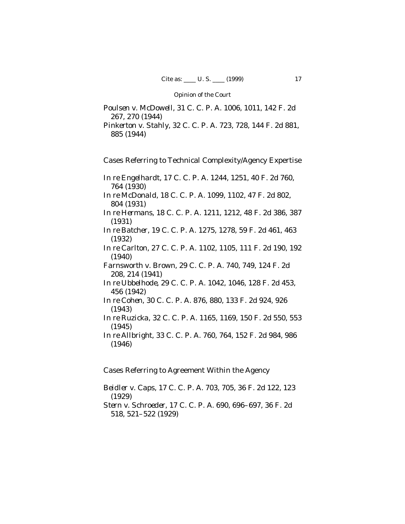*Poulsen* v. *McDowell*, 31 C. C. P. A. 1006, 1011, 142 F. 2d 267, 270 (1944)

*Pinkerton* v. *Stahly*, 32 C. C. P. A. 723, 728, 144 F. 2d 881, 885 (1944)

Cases Referring to Technical Complexity/Agency Expertise

*In re Engelhardt*, 17 C. C. P. A. 1244, 1251, 40 F. 2d 760, 764 (1930)

*In re McDonald*, 18 C. C. P. A. 1099, 1102, 47 F. 2d 802, 804 (1931)

*In re Hermans*, 18 C. C. P. A. 1211, 1212, 48 F. 2d 386, 387 (1931)

*In re Batcher*, 19 C. C. P. A. 1275, 1278, 59 F. 2d 461, 463 (1932)

*In re Carlton*, 27 C. C. P. A. 1102, 1105, 111 F. 2d 190, 192 (1940)

*Farnsworth* v. *Brown*, 29 C. C. P. A. 740, 749, 124 F. 2d 208, 214 (1941)

*In re Ubbelhode*, 29 C. C. P. A. 1042, 1046, 128 F. 2d 453, 456 (1942)

*In re Cohen*, 30 C. C. P. A. 876, 880, 133 F. 2d 924, 926 (1943)

*In re Ruzicka*, 32 C. C. P. A. 1165, 1169, 150 F. 2d 550, 553 (1945)

*In re Allbright*, 33 C. C. P. A. 760, 764, 152 F. 2d 984, 986 (1946)

Cases Referring to Agreement Within the Agency

*Beidler* v. *Caps*, 17 C. C. P. A. 703, 705, 36 F. 2d 122, 123 (1929)

*Stern* v. *Schroeder*, 17 C. C. P. A. 690, 696–697, 36 F. 2d 518, 521–522 (1929)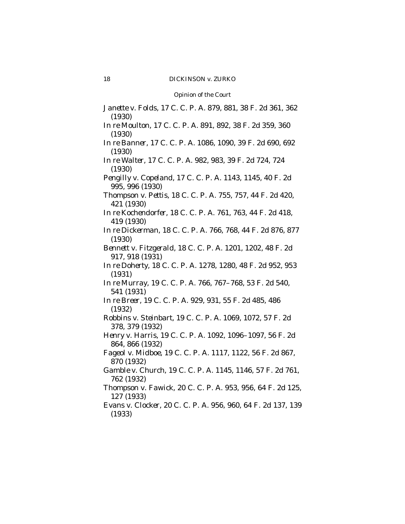*Janette* v. *Folds*, 17 C. C. P. A. 879, 881, 38 F. 2d 361, 362 (1930) *In re Moulton*, 17 C. C. P. A. 891, 892, 38 F. 2d 359, 360 (1930) *In re Banner*, 17 C. C. P. A. 1086, 1090, 39 F. 2d 690, 692 (1930) *In re Walter*, 17 C. C. P. A. 982, 983, 39 F. 2d 724, 724 (1930) *Pengilly* v. *Copeland*, 17 C. C. P. A. 1143, 1145, 40 F. 2d 995, 996 (1930) *Thompson* v. *Pettis*, 18 C. C. P. A. 755, 757, 44 F. 2d 420, 421 (1930) *In re Kochendorfer*, 18 C. C. P. A. 761, 763, 44 F. 2d 418, 419 (1930) *In re Dickerman*, 18 C. C. P. A. 766, 768, 44 F. 2d 876, 877 (1930) *Bennett* v. *Fitzgerald*, 18 C. C. P. A. 1201, 1202, 48 F. 2d 917, 918 (1931) *In re Doherty*, 18 C. C. P. A. 1278, 1280, 48 F. 2d 952, 953 (1931) *In re Murray*, 19 C. C. P. A. 766, 767–768, 53 F. 2d 540, 541 (1931) *In re Breer*, 19 C. C. P. A. 929, 931, 55 F. 2d 485, 486 (1932) *Robbins* v. *Steinbart*, 19 C. C. P. A. 1069, 1072, 57 F. 2d 378, 379 (1932) *Henry* v. *Harris*, 19 C. C. P. A. 1092, 1096–1097, 56 F. 2d 864, 866 (1932) *Fageol* v. *Midboe*, 19 C. C. P. A. 1117, 1122, 56 F. 2d 867, 870 (1932) *Gamble* v. *Church*, 19 C. C. P. A. 1145, 1146, 57 F. 2d 761, 762 (1932) *Thompson* v. *Fawick*, 20 C. C. P. A. 953, 956, 64 F. 2d 125, 127 (1933) *Evans* v. *Clocker*, 20 C. C. P. A. 956, 960, 64 F. 2d 137, 139 (1933)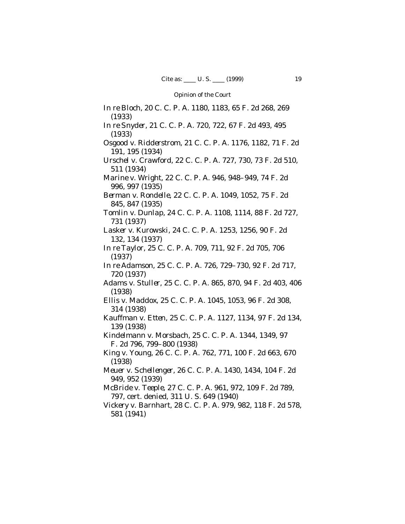*In re Bloch*, 20 C. C. P. A. 1180, 1183, 65 F. 2d 268, 269 (1933) *In re Snyder*, 21 C. C. P. A. 720, 722, 67 F. 2d 493, 495 (1933) *Osgood* v. *Ridderstrom*, 21 C. C. P. A. 1176, 1182, 71 F. 2d 191, 195 (1934) *Urschel* v. *Crawford*, 22 C. C. P. A. 727, 730, 73 F. 2d 510, 511 (1934) *Marine* v. *Wright*, 22 C. C. P. A. 946, 948–949, 74 F. 2d 996, 997 (1935) *Berman* v. *Rondelle*, 22 C. C. P. A. 1049, 1052, 75 F. 2d 845, 847 (1935) *Tomlin* v. *Dunlap*, 24 C. C. P. A. 1108, 1114, 88 F. 2d 727, 731 (1937) *Lasker* v. *Kurowski*, 24 C. C. P. A. 1253, 1256, 90 F. 2d 132, 134 (1937) *In re Taylor*, 25 C. C. P. A. 709, 711, 92 F. 2d 705, 706 (1937) *In re Adamson*, 25 C. C. P. A. 726, 729–730, 92 F. 2d 717, 720 (1937) *Adams* v. *Stuller*, 25 C. C. P. A. 865, 870, 94 F. 2d 403, 406 (1938) *Ellis* v. *Maddox*, 25 C. C. P. A. 1045, 1053, 96 F. 2d 308, 314 (1938) *Kauffman* v. *Etten*, 25 C. C. P. A. 1127, 1134, 97 F. 2d 134, 139 (1938) *Kindelmann* v. *Morsbach*, 25 C. C. P. A. 1344, 1349, 97 F. 2d 796, 799–800 (1938) *King* v. *Young*, 26 C. C. P. A. 762, 771, 100 F. 2d 663, 670 (1938) *Meuer* v. *Schellenger*, 26 C. C. P. A. 1430, 1434, 104 F. 2d 949, 952 (1939) *McBride* v. *Teeple*, 27 C. C. P. A. 961, 972, 109 F. 2d 789, 797, cert. denied, 311 U. S. 649 (1940) *Vickery* v. *Barnhart*, 28 C. C. P. A. 979, 982, 118 F. 2d 578, 581 (1941)